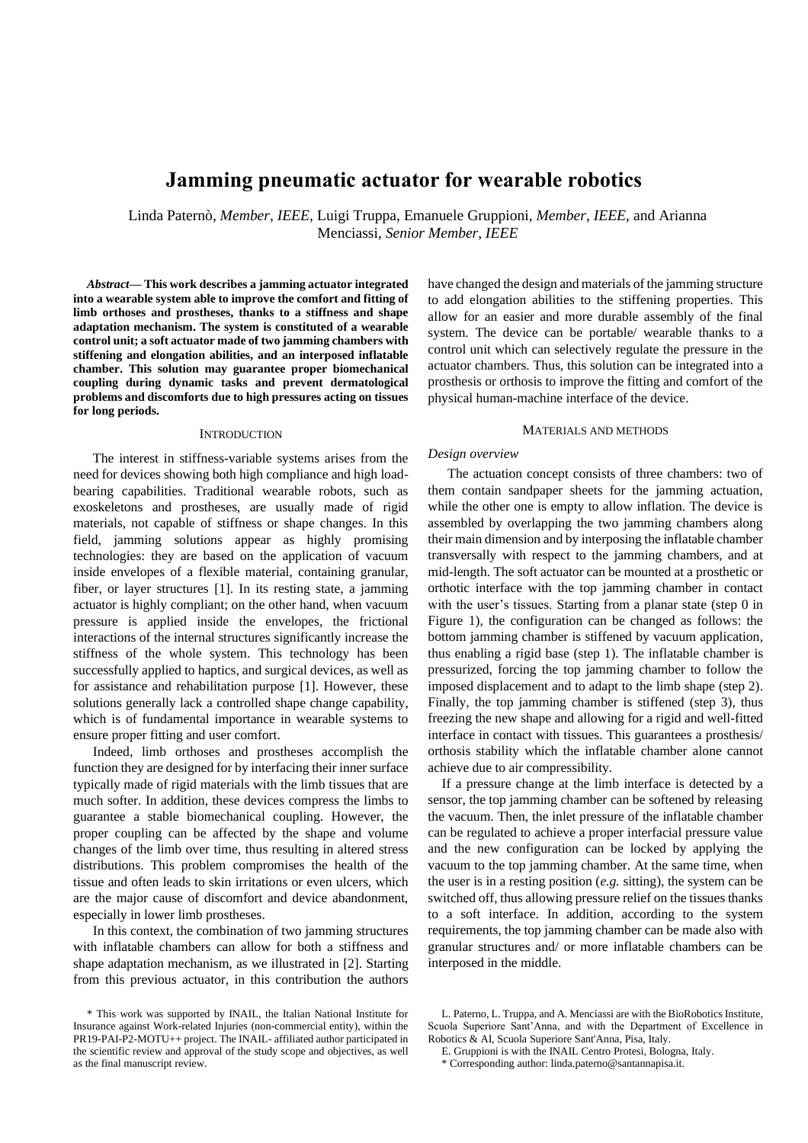# **Jamming pneumatic actuator for wearable robotics**

Linda Paternò, *Member, IEEE,* Luigi Truppa, Emanuele Gruppioni, *Member*, *IEEE*, and Arianna Menciassi, *Senior Member*, *IEEE*

*Abstract***— This work describes a jamming actuator integrated into a wearable system able to improve the comfort and fitting of limb orthoses and prostheses, thanks to a stiffness and shape adaptation mechanism. The system is constituted of a wearable control unit; a soft actuator made of two jamming chambers with stiffening and elongation abilities, and an interposed inflatable chamber. This solution may guarantee proper biomechanical coupling during dynamic tasks and prevent dermatological problems and discomforts due to high pressures acting on tissues for long periods.**

#### **INTRODUCTION**

The interest in stiffness-variable systems arises from the need for devices showing both high compliance and high loadbearing capabilities. Traditional wearable robots, such as exoskeletons and prostheses, are usually made of rigid materials, not capable of stiffness or shape changes. In this field, jamming solutions appear as highly promising technologies: they are based on the application of vacuum inside envelopes of a flexible material, containing granular, fiber, or layer structures [1]. In its resting state, a jamming actuator is highly compliant; on the other hand, when vacuum pressure is applied inside the envelopes, the frictional interactions of the internal structures significantly increase the stiffness of the whole system. This technology has been successfully applied to haptics, and surgical devices, as well as for assistance and rehabilitation purpose [1]. However, these solutions generally lack a controlled shape change capability, which is of fundamental importance in wearable systems to ensure proper fitting and user comfort.

Indeed, limb orthoses and prostheses accomplish the function they are designed for by interfacing their inner surface typically made of rigid materials with the limb tissues that are much softer. In addition, these devices compress the limbs to guarantee a stable biomechanical coupling. However, the proper coupling can be affected by the shape and volume changes of the limb over time, thus resulting in altered stress distributions. This problem compromises the health of the tissue and often leads to skin irritations or even ulcers, which are the major cause of discomfort and device abandonment, especially in lower limb prostheses.

In this context, the combination of two jamming structures with inflatable chambers can allow for both a stiffness and shape adaptation mechanism, as we illustrated in [2]. Starting from this previous actuator, in this contribution the authors have changed the design and materials of the jamming structure to add elongation abilities to the stiffening properties. This allow for an easier and more durable assembly of the final system. The device can be portable/ wearable thanks to a control unit which can selectively regulate the pressure in the actuator chambers. Thus, this solution can be integrated into a prosthesis or orthosis to improve the fitting and comfort of the physical human-machine interface of the device.

#### MATERIALS AND METHODS

#### *Design overview*

The actuation concept consists of three chambers: two of them contain sandpaper sheets for the jamming actuation, while the other one is empty to allow inflation. The device is assembled by overlapping the two jamming chambers along their main dimension and by interposing the inflatable chamber transversally with respect to the jamming chambers, and at mid-length. The soft actuator can be mounted at a prosthetic or orthotic interface with the top jamming chamber in contact with the user's tissues. Starting from a planar state (step 0 in Figure 1), the configuration can be changed as follows: the bottom jamming chamber is stiffened by vacuum application, thus enabling a rigid base (step 1). The inflatable chamber is pressurized, forcing the top jamming chamber to follow the imposed displacement and to adapt to the limb shape (step 2). Finally, the top jamming chamber is stiffened (step 3), thus freezing the new shape and allowing for a rigid and well-fitted interface in contact with tissues. This guarantees a prosthesis/ orthosis stability which the inflatable chamber alone cannot achieve due to air compressibility.

If a pressure change at the limb interface is detected by a sensor, the top jamming chamber can be softened by releasing the vacuum. Then, the inlet pressure of the inflatable chamber can be regulated to achieve a proper interfacial pressure value and the new configuration can be locked by applying the vacuum to the top jamming chamber. At the same time, when the user is in a resting position (*e.g.* sitting), the system can be switched off, thus allowing pressure relief on the tissues thanks to a soft interface. In addition, according to the system requirements, the top jamming chamber can be made also with granular structures and/ or more inflatable chambers can be interposed in the middle.

<sup>\*</sup> This work was supported by INAIL, the Italian National Institute for Insurance against Work-related Injuries (non-commercial entity), within the PR19-PAI-P2-MOTU++ project. The INAIL- affiliated author participated in the scientific review and approval of the study scope and objectives, as well as the final manuscript review.

L. Paterno, L. Truppa, and A. Menciassi are with the BioRobotics Institute, Scuola Superiore Sant'Anna, and with the Department of Excellence in Robotics & AI, Scuola Superiore Sant'Anna, Pisa, Italy.

E. Gruppioni is with the INAIL Centro Protesi, Bologna, Italy.

<sup>\*</sup> Corresponding author: linda.paterno@santannapisa.it.